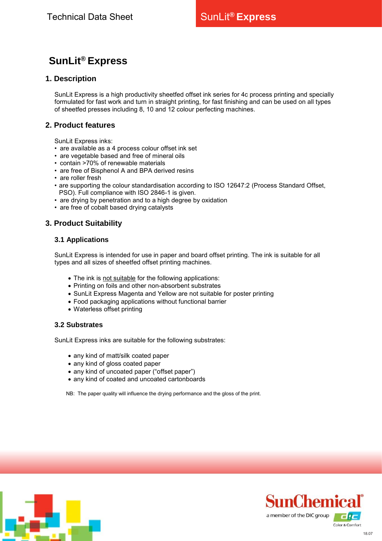# **SunLit® Express**

# **1. Description**

SunLit Express is a high productivity sheetfed offset ink series for 4c process printing and specially formulated for fast work and turn in straight printing, for fast finishing and can be used on all types of sheetfed presses including 8, 10 and 12 colour perfecting machines.

# **2. Product features**

SunLit Express inks:

- are available as a 4 process colour offset ink set
- are vegetable based and free of mineral oils
- contain >70% of renewable materials
- are free of Bisphenol A and BPA derived resins
- are roller fresh
- are supporting the colour standardisation according to ISO 12647:2 (Process Standard Offset, PSO). Full compliance with ISO 2846-1 is given.
- are drying by penetration and to a high degree by oxidation
- are free of cobalt based drying catalysts

# **3. Product Suitability**

## **3.1 Applications**

SunLit Express is intended for use in paper and board offset printing. The ink is suitable for all types and all sizes of sheetfed offset printing machines.

- The ink is not suitable for the following applications:
- Printing on foils and other non-absorbent substrates
- SunLit Express Magenta and Yellow are not suitable for poster printing
- Food packaging applications without functional barrier
- Waterless offset printing

#### **3.2 Substrates**

SunLit Express inks are suitable for the following substrates:

- any kind of matt/silk coated paper
- any kind of gloss coated paper
- any kind of uncoated paper ("offset paper")
- any kind of coated and uncoated cartonboards

NB: The paper quality will influence the drying performance and the gloss of the print.



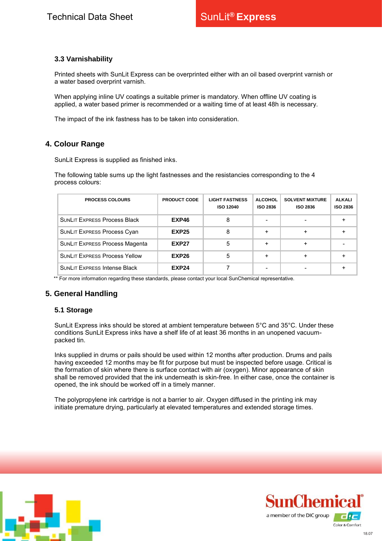## **3.3 Varnishability**

Printed sheets with SunLit Express can be overprinted either with an oil based overprint varnish or a water based overprint varnish.

When applying inline UV coatings a suitable primer is mandatory. When offline UV coating is applied, a water based primer is recommended or a waiting time of at least 48h is necessary.

The impact of the ink fastness has to be taken into consideration.

# **4. Colour Range**

SunLit Express is supplied as finished inks.

The following table sums up the light fastnesses and the resistancies corresponding to the 4 process colours:

| <b>PROCESS COLOURS</b>                | <b>PRODUCT CODE</b> | <b>LIGHT FASTNESS</b><br><b>ISO 12040</b> | <b>ALCOHOL</b><br>ISO 2836 | <b>SOLVENT MIXTURE</b><br><b>ISO 2836</b> | <b>ALKALI</b><br><b>ISO 2836</b> |
|---------------------------------------|---------------------|-------------------------------------------|----------------------------|-------------------------------------------|----------------------------------|
| <b>SUNLIT EXPRESS Process Black</b>   | EXP46               |                                           |                            |                                           |                                  |
| <b>SUNLIT EXPRESS Process Cyan</b>    | <b>EXP25</b>        | 8                                         |                            |                                           |                                  |
| <b>SUNLIT EXPRESS Process Magenta</b> | EXP27               | 5                                         | $\ddot{}$                  |                                           |                                  |
| <b>SUNLIT EXPRESS Process Yellow</b>  | EXP26               | 5                                         | +                          |                                           |                                  |
| <b>SUNLIT EXPRESS Intense Black</b>   | <b>EXP24</b>        |                                           |                            |                                           |                                  |

\*\* For more information regarding these standards, please contact your local SunChemical representative.

## **5. General Handling**

#### **5.1 Storage**

SunLit Express inks should be stored at ambient temperature between 5°C and 35°C. Under these conditions SunLit Express inks have a shelf life of at least 36 months in an unopened vacuumpacked tin.

Inks supplied in drums or pails should be used within 12 months after production. Drums and pails having exceeded 12 months may be fit for purpose but must be inspected before usage. Critical is the formation of skin where there is surface contact with air (oxygen). Minor appearance of skin shall be removed provided that the ink underneath is skin-free. In either case, once the container is opened, the ink should be worked off in a timely manner.

The polypropylene ink cartridge is not a barrier to air. Oxygen diffused in the printing ink may initiate premature drying, particularly at elevated temperatures and extended storage times.



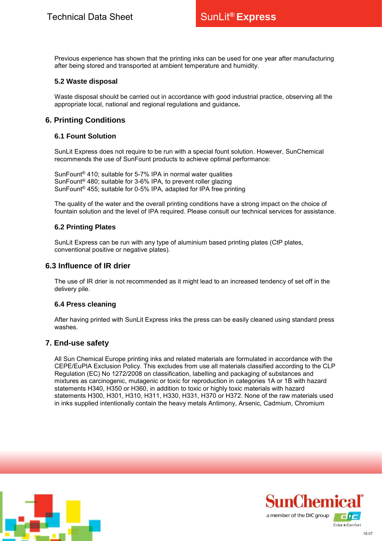Previous experience has shown that the printing inks can be used for one year after manufacturing after being stored and transported at ambient temperature and humidity.

#### **5.2 Waste disposal**

Waste disposal should be carried out in accordance with good industrial practice, observing all the appropriate local, national and regional regulations and guidance*.*

# **6. Printing Conditions**

#### **6.1 Fount Solution**

SunLit Express does not require to be run with a special fount solution. However, SunChemical recommends the use of SunFount products to achieve optimal performance:

SunFount® 410; suitable for 5-7% IPA in normal water qualities SunFount® 480; suitable for 3-6% IPA, to prevent roller glazing SunFount® 455; suitable for 0-5% IPA, adapted for IPA free printing

The quality of the water and the overall printing conditions have a strong impact on the choice of fountain solution and the level of IPA required. Please consult our technical services for assistance.

#### **6.2 Printing Plates**

SunLit Express can be run with any type of aluminium based printing plates (CtP plates, conventional positive or negative plates).

## **6.3 Influence of IR drier**

The use of IR drier is not recommended as it might lead to an increased tendency of set off in the delivery pile.

#### **6.4 Press cleaning**

After having printed with SunLit Express inks the press can be easily cleaned using standard press washes.

## **7. End-use safety**

All Sun Chemical Europe printing inks and related materials are formulated in accordance with the CEPE/EuPIA Exclusion Policy. This excludes from use all materials classified according to the CLP Regulation (EC) No 1272/2008 on classification, labelling and packaging of substances and mixtures as carcinogenic, mutagenic or toxic for reproduction in categories 1A or 1B with hazard statements H340, H350 or H360, in addition to toxic or highly toxic materials with hazard statements H300, H301, H310, H311, H330, H331, H370 or H372. None of the raw materials used in inks supplied intentionally contain the heavy metals Antimony, Arsenic, Cadmium, Chromium